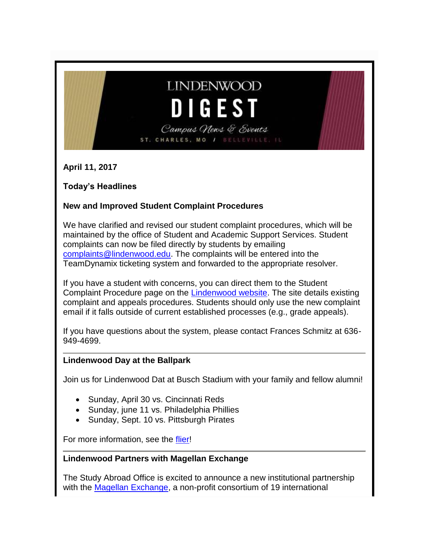## **LINDENWOOD DIGES**

Campus News & Events ST. CHARLES, MO / BELLEVILLE,

**April 11, 2017**

#### **Today's Headlines**

#### **New and Improved Student Complaint Procedures**

We have clarified and revised our student complaint procedures, which will be maintained by the office of Student and Academic Support Services. Student complaints can now be filed directly by students by emailing [complaints@lindenwood.edu.](mailto:complaints@lindenwood.edu) The complaints will be entered into the TeamDynamix ticketing system and forwarded to the appropriate resolver.

If you have a student with concerns, you can direct them to the Student Complaint Procedure page on the [Lindenwood website.](http://www.lindenwood.edu/about/consumer-information/student-right-to-know/student-complaint-procedure/) The site details existing complaint and appeals procedures. Students should only use the new complaint email if it falls outside of current established processes (e.g., grade appeals).

If you have questions about the system, please contact Frances Schmitz at 636- 949-4699.

#### **Lindenwood Day at the Ballpark**

Join us for Lindenwood Dat at Busch Stadium with your family and fellow alumni!

- Sunday, April 30 vs. Cincinnati Reds
- Sunday, june 11 vs. Philadelphia Phillies
- Sunday, Sept. 10 vs. Pittsburgh Pirates

For more information, see the [flier!](http://felix.lindenwood.edu/newsletter/2017_04/day_at_the_ballpark.jpg)

#### **Lindenwood Partners with Magellan Exchange**

The Study Abroad Office is excited to announce a new institutional partnership with the [Magellan Exchange,](http://www.magellanexchange.org/default.aspx) a non-profit consortium of 19 international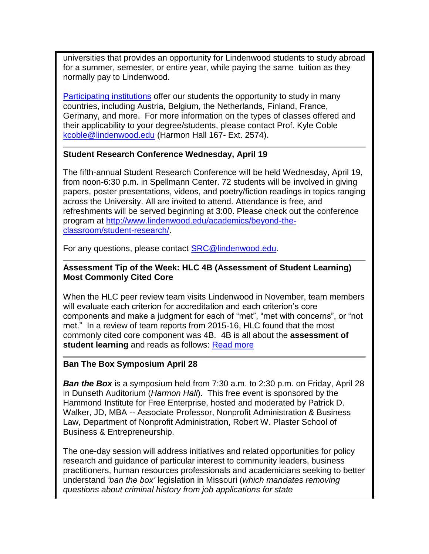universities that provides an opportunity for Lindenwood students to study abroad for a summer, semester, or entire year, while paying the same tuition as they normally pay to Lindenwood.

[Participating institutions](http://www.magellanexchange.org/Institutions/Membership.aspx) offer our students the opportunity to study in many countries, including Austria, Belgium, the Netherlands, Finland, France, Germany, and more. For more information on the types of classes offered and their applicability to your degree/students, please contact Prof. Kyle Coble [kcoble@lindenwood.edu](mailto:kcoble@lindenwood.edu) (Harmon Hall 167- Ext. 2574).

#### **Student Research Conference Wednesday, April 19**

The fifth-annual Student Research Conference will be held Wednesday, April 19, from noon-6:30 p.m. in Spellmann Center. 72 students will be involved in giving papers, poster presentations, videos, and poetry/fiction readings in topics ranging across the University. All are invited to attend. Attendance is free, and refreshments will be served beginning at 3:00. Please check out the conference program at [http://www.lindenwood.edu/academics/beyond-the](http://www.lindenwood.edu/academics/beyond-the-classroom/student-research/)[classroom/student-research/.](http://www.lindenwood.edu/academics/beyond-the-classroom/student-research/)

For any questions, please contact [SRC@lindenwood.edu.](mailto:SRC@lindenwood.edu)

#### **Assessment Tip of the Week: HLC 4B (Assessment of Student Learning) Most Commonly Cited Core**

When the HLC peer review team visits Lindenwood in November, team members will evaluate each criterion for accreditation and each criterion's core components and make a judgment for each of "met", "met with concerns", or "not met." In a review of team reports from 2015-16, HLC found that the most commonly cited core component was 4B. 4B is all about the **assessment of student learning** and reads as follows: [Read more](http://felix.lindenwood.edu/newsletter/2017_04/assessment_04_11.pdf)

#### **Ban The Box Symposium April 28**

*Ban the Box* is a symposium held from 7:30 a.m. to 2:30 p.m. on Friday, April 28 in Dunseth Auditorium (*Harmon Hall*). This free event is sponsored by the Hammond Institute for Free Enterprise, hosted and moderated by Patrick D. Walker, JD, MBA -- Associate Professor, Nonprofit Administration & Business Law, Department of Nonprofit Administration, Robert W. Plaster School of Business & Entrepreneurship.

The one-day session will address initiatives and related opportunities for policy research and guidance of particular interest to community leaders, business practitioners, human resources professionals and academicians seeking to better understand *'ban the box'* legislation in Missouri (*which mandates removing questions about criminal history from job applications for state*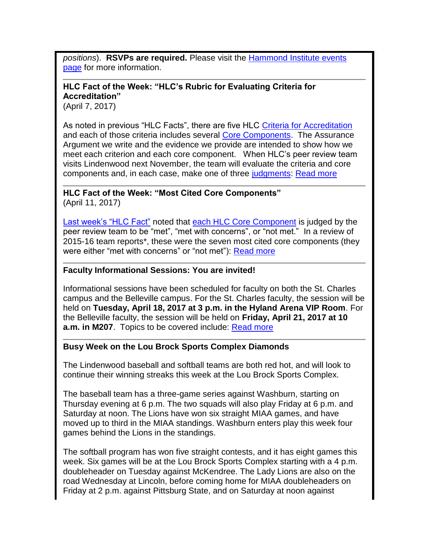*positions*). **RSVPs are required.** Please visit the [Hammond Institute events](http://www.lindenwood.edu/academics/centers-institutes/the-hammond-institute/events-2/)  [page](http://www.lindenwood.edu/academics/centers-institutes/the-hammond-institute/events-2/) for more information.

#### **HLC Fact of the Week: "HLC's Rubric for Evaluating Criteria for Accreditation"**

(April 7, 2017)

As noted in previous "HLC Facts", there are five HLC [Criteria for Accreditation](https://www.hlcommission.org/Criteria-Eligibility-and-Candidacy/criteria-and-core-components.html) and each of those criteria includes several [Core Components.](https://www.hlcommission.org/Criteria-Eligibility-and-Candidacy/criteria-and-core-components.html) The Assurance Argument we write and the evidence we provide are intended to show how we meet each criterion and each core component. When HLC's peer review team visits Lindenwood next November, the team will evaluate the criteria and core components and, in each case, make one of three [judgments:](https://www.hlcommission.org/Criteria-Eligibility-and-Candidacy/criteria-and-core-components.html) [Read more](http://felix.lindenwood.edu/newsletter/2017_04/fact_04_07.pdf)

**HLC Fact of the Week: "Most Cited Core Components"** (April 11, 2017)

[Last week's "HLC Fact"](http://www.lindenwood.edu/files/resources/hlc-fact-of-the-week-april-7-2017.pdf) noted that [each HLC Core Component](https://www.hlcommission.org/Criteria-Eligibility-and-Candidacy/criteria-and-core-components.html) is judged by the peer review team to be "met", "met with concerns", or "not met." In a review of 2015-16 team reports\*, these were the seven most cited core components (they were either "met with concerns" or "not met"): [Read more](http://felix.lindenwood.edu/newsletter/2017_04/fact_04_11.pdf)

#### **Faculty Informational Sessions: You are invited!**

Informational sessions have been scheduled for faculty on both the St. Charles campus and the Belleville campus. For the St. Charles faculty, the session will be held on **Tuesday, April 18, 2017 at 3 p.m. in the Hyland Arena VIP Room**. For the Belleville faculty, the session will be held on **Friday, April 21, 2017 at 10 a.m. in M207**. Topics to be covered include: [Read more](http://felix.lindenwood.edu/newsletter/2017_04/faculty_information_sessions.pdf)

#### **Busy Week on the Lou Brock Sports Complex Diamonds**

The Lindenwood baseball and softball teams are both red hot, and will look to continue their winning streaks this week at the Lou Brock Sports Complex.

The baseball team has a three-game series against Washburn, starting on Thursday evening at 6 p.m. The two squads will also play Friday at 6 p.m. and Saturday at noon. The Lions have won six straight MIAA games, and have moved up to third in the MIAA standings. Washburn enters play this week four games behind the Lions in the standings.

The softball program has won five straight contests, and it has eight games this week. Six games will be at the Lou Brock Sports Complex starting with a 4 p.m. doubleheader on Tuesday against McKendree. The Lady Lions are also on the road Wednesday at Lincoln, before coming home for MIAA doubleheaders on Friday at 2 p.m. against Pittsburg State, and on Saturday at noon against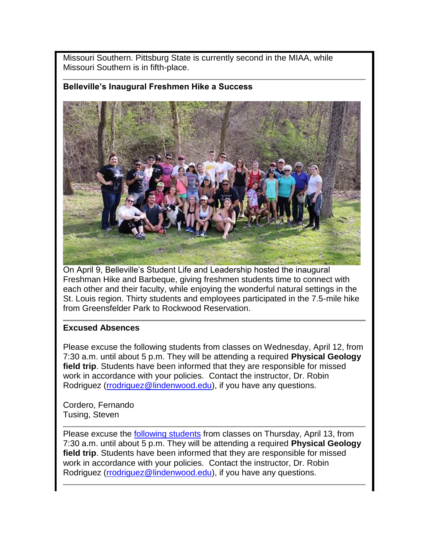Missouri Southern. Pittsburg State is currently second in the MIAA, while Missouri Southern is in fifth-place.

#### **Belleville's Inaugural Freshmen Hike a Success**



On April 9, Belleville's Student Life and Leadership hosted the inaugural Freshman Hike and Barbeque, giving freshmen students time to connect with each other and their faculty, while enjoying the wonderful natural settings in the St. Louis region. Thirty students and employees participated in the 7.5-mile hike from Greensfelder Park to Rockwood Reservation.

#### **Excused Absences**

Please excuse the following students from classes on Wednesday, April 12, from 7:30 a.m. until about 5 p.m. They will be attending a required **Physical Geology field trip**. Students have been informed that they are responsible for missed work in accordance with your policies. Contact the instructor, Dr. Robin Rodriguez [\(rrodriguez@lindenwood.edu\)](mailto:rrodriguez@lindenwood.edu), if you have any questions.

Cordero, Fernando Tusing, Steven

Please excuse the **following students** from classes on Thursday, April 13, from 7:30 a.m. until about 5 p.m. They will be attending a required **Physical Geology field trip**. Students have been informed that they are responsible for missed work in accordance with your policies. Contact the instructor, Dr. Robin Rodriguez [\(rrodriguez@lindenwood.edu\)](mailto:rrodriguez@lindenwood.edu), if you have any questions.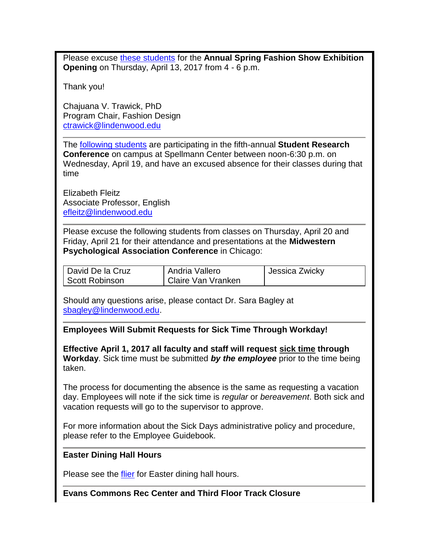Please excuse [these students](http://felix.lindenwood.edu/newsletter/2017_04/fashion_excused_absence.pdf) for the **Annual Spring Fashion Show Exhibition Opening** on Thursday, April 13, 2017 from 4 - 6 p.m.

Thank you!

Chajuana V. Trawick, PhD Program Chair, Fashion Design [ctrawick@lindenwood.edu](mailto:ctrawick@lindenwood.edu)

The [following students](http://felix.lindenwood.edu/newsletter/2017_04/student_research_absences.pdf) are participating in the fifth-annual **Student Research Conference** on campus at Spellmann Center between noon-6:30 p.m. on Wednesday, April 19, and have an excused absence for their classes during that time

Elizabeth Fleitz Associate Professor, English [efleitz@lindenwood.edu](mailto:efleitz@lindenwood.edu)

Please excuse the following students from classes on Thursday, April 20 and Friday, April 21 for their attendance and presentations at the **Midwestern Psychological Association Conference** in Chicago:

| David De la Cruz | Andria Vallero            | Jessica Zwicky |
|------------------|---------------------------|----------------|
| Scott Robinson   | <b>Claire Van Vranken</b> |                |

Should any questions arise, please contact Dr. Sara Bagley at [sbagley@lindenwood.edu.](mailto:sbagley@lindenwood.edu)

**Employees Will Submit Requests for Sick Time Through Workday!**

**Effective April 1, 2017 all faculty and staff will request sick time through Workday**. Sick time must be submitted *by the employee* prior to the time being taken.

The process for documenting the absence is the same as requesting a vacation day. Employees will note if the sick time is *regular* or *bereavement*. Both sick and vacation requests will go to the supervisor to approve.

For more information about the Sick Days administrative policy and procedure, please refer to the Employee Guidebook.

#### **Easter Dining Hall Hours**

Please see the [flier](http://felix.lindenwood.edu/newsletter/2017_04/easterdininghall.pdf) for Easter dining hall hours.

#### **Evans Commons Rec Center and Third Floor Track Closure**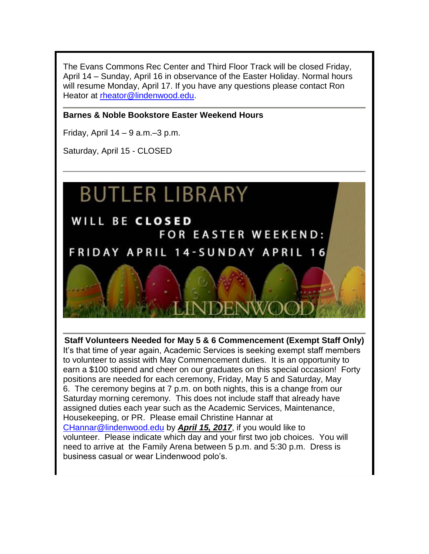The Evans Commons Rec Center and Third Floor Track will be closed Friday, April 14 – Sunday, April 16 in observance of the Easter Holiday. Normal hours will resume Monday, April 17. If you have any questions please contact Ron Heator at [rheator@lindenwood.edu.](mailto:rheator@lindenwood.edu)

#### **Barnes & Noble Bookstore Easter Weekend Hours**

Friday, April  $14 - 9$  a.m. $-3$  p.m.

Saturday, April 15 - CLOSED

# **BUTLER LIBRARY**

WILL BE CLOSED **FOR EASTER WEEKEND: FRIDAY APRIL 14-SUNDAY APRIL 16** 

**Staff Volunteers Needed for May 5 & 6 Commencement (Exempt Staff Only)** It's that time of year again, Academic Services is seeking exempt staff members to volunteer to assist with May Commencement duties. It is an opportunity to earn a \$100 stipend and cheer on our graduates on this special occasion! Forty positions are needed for each ceremony, Friday, May 5 and Saturday, May 6. The ceremony begins at 7 p.m. on both nights, this is a change from our Saturday morning ceremony. This does not include staff that already have assigned duties each year such as the Academic Services, Maintenance, Housekeeping, or PR. Please email Christine Hannar at [CHannar@lindenwood.edu](mailto:CHannar@lindenwood.edu) by *April 15, 2017*, if you would like to volunteer. Please indicate which day and your first two job choices. You will need to arrive at the Family Arena between 5 p.m. and 5:30 p.m. Dress is business casual or wear Lindenwood polo's.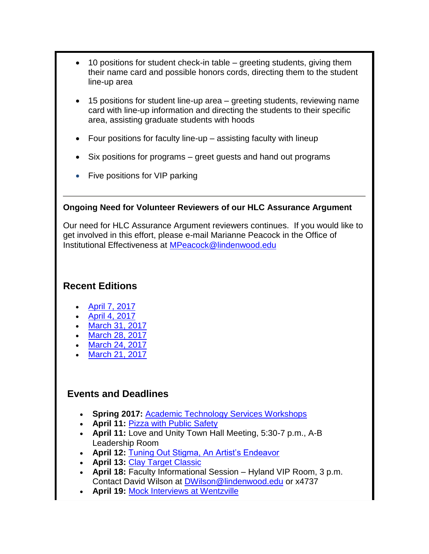- 10 positions for student check-in table greeting students, giving them their name card and possible honors cords, directing them to the student line-up area
- 15 positions for student line-up area greeting students, reviewing name card with line-up information and directing the students to their specific area, assisting graduate students with hoods
- Four positions for faculty line-up assisting faculty with lineup
- Six positions for programs greet guests and hand out programs
- Five positions for VIP parking

#### **Ongoing Need for Volunteer Reviewers of our HLC Assurance Argument**

Our need for HLC Assurance Argument reviewers continues. If you would like to get involved in this effort, please e-mail Marianne Peacock in the Office of Institutional Effectiveness at [MPeacock@lindenwood.edu](mailto:MPeacock@lindenwood.edu)

### **Recent Editions**

- [April 7, 2017](http://felix.lindenwood.edu/newsletter/digest/2017_04/2017_04_07.pdf)
- [April 4, 2017](http://felix.lindenwood.edu/newsletter/digest/2017_04/2017_04_04.pdf)
- [March 31, 2017](http://felix.lindenwood.edu/newsletter/digest/2017_03/2017_03_31.pdf)
- [March 28, 2017](http://felix.lindenwood.edu/newsletter/digest/2017_03/2017_03_28.pdf)
- [March 24, 2017](http://felix.lindenwood.edu/newsletter/digest/2017_03/2017_03_24.pdf)
- [March 21, 2017](http://felix.lindenwood.edu/newsletter/digest/2017_03/2017_03_21.pdf)

#### **Events and Deadlines**

- **Spring 2017:** [Academic Technology Services Workshops](http://felix.lindenwood.edu/newsletter/2017_01/spring2017workshops.pdf)
- **April 11:** [Pizza with Public Safety](http://felix.lindenwood.edu/newsletter/2017_03/pizza_public_safety.pdf)
- **April 11:** Love and Unity Town Hall Meeting, 5:30-7 p.m., A-B Leadership Room
- **April 12:** [Tuning Out Stigma, An Artist's Endeavor](http://www.lindenwood.edu/belleville/about/news/details/lindenwood-university-belleville-to-host-mental-health-awareness-event/)
- **April 13:** [Clay Target Classic](http://felix.lindenwood.edu/newsletter/2017_03/clay_target_classic.pdf)
- **April 18:** Faculty Informational Session Hyland VIP Room, 3 p.m. Contact David Wilson at [DWilson@lindenwood.edu](mailto:DWilson@lindenwood.edu) or x4737
- **April 19:** [Mock Interviews at Wentzville](http://felix.lindenwood.edu/newsletter/2017_02/wentzville_interviews.pdf)